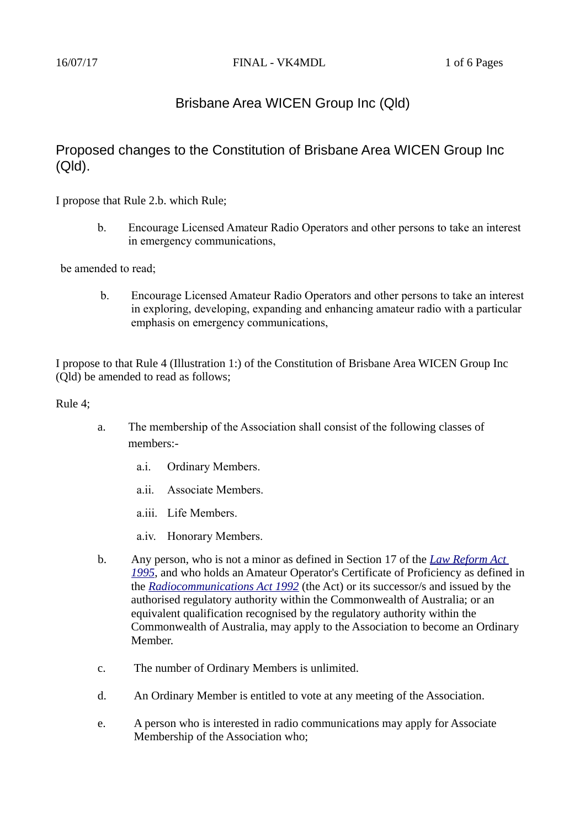# Brisbane Area WICEN Group Inc (Qld)

# Proposed changes to the Constitution of Brisbane Area WICEN Group Inc (Qld).

I propose that Rule 2.b. which Rule;

b. Encourage Licensed Amateur Radio Operators and other persons to take an interest in emergency communications,

be amended to read;

b. Encourage Licensed Amateur Radio Operators and other persons to take an interest in exploring, developing, expanding and enhancing amateur radio with a particular emphasis on emergency communications,

I propose to that Rule 4 (Illustration 1:) of the Constitution of Brisbane Area WICEN Group Inc (Qld) be amended to read as follows;

Rule 4;

- a. The membership of the Association shall consist of the following classes of members:
	- a.i. Ordinary Members.
	- a.ii. Associate Members.
	- a.iii. Life Members.
	- a.iv. Honorary Members.
- b. Any person, who is not a minor as defined in Section 17 of the *[Law Reform Act](https://www.legislation.qld.gov.au/LEGISLTN/CURRENT/L/LawReformA95.pdf)  [1995](https://www.legislation.qld.gov.au/LEGISLTN/CURRENT/L/LawReformA95.pdf)*, and who holds an Amateur Operator's Certificate of Proficiency as defined in the *[Radiocommunications Act 1992](http://www.comlaw.gov.au/Details/C2011C00072)* (the Act) or its successor/s and issued by the authorised regulatory authority within the Commonwealth of Australia; or an equivalent qualification recognised by the regulatory authority within the Commonwealth of Australia, may apply to the Association to become an Ordinary Member.
- c. The number of Ordinary Members is unlimited.
- d. An Ordinary Member is entitled to vote at any meeting of the Association.
- e. A person who is interested in radio communications may apply for Associate Membership of the Association who;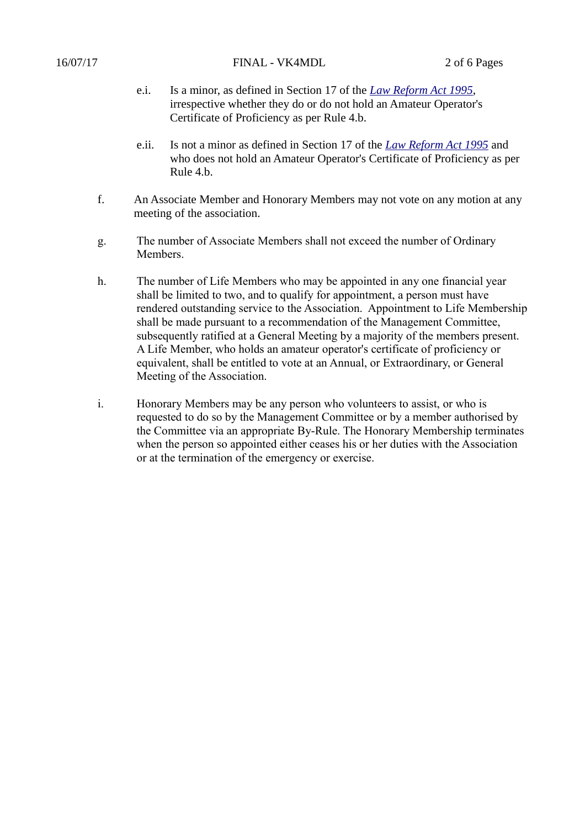- e.i. Is a minor, as defined in Section 17 of the *[Law Reform Act 1995](https://www.legislation.qld.gov.au/LEGISLTN/CURRENT/L/LawReformA95.pdf)*, irrespective whether they do or do not hold an Amateur Operator's Certificate of Proficiency as per Rule 4.b.
- e.ii. Is not a minor as defined in Section 17 of the *[Law Reform Act 1995](https://www.legislation.qld.gov.au/LEGISLTN/CURRENT/L/LawReformA95.pdf)* and who does not hold an Amateur Operator's Certificate of Proficiency as per Rule 4.b.
- f. An Associate Member and Honorary Members may not vote on any motion at any meeting of the association.
- g. The number of Associate Members shall not exceed the number of Ordinary Members.
- h. The number of Life Members who may be appointed in any one financial year shall be limited to two, and to qualify for appointment, a person must have rendered outstanding service to the Association. Appointment to Life Membership shall be made pursuant to a recommendation of the Management Committee, subsequently ratified at a General Meeting by a majority of the members present. A Life Member, who holds an amateur operator's certificate of proficiency or equivalent, shall be entitled to vote at an Annual, or Extraordinary, or General Meeting of the Association.
- i. Honorary Members may be any person who volunteers to assist, or who is requested to do so by the Management Committee or by a member authorised by the Committee via an appropriate By-Rule. The Honorary Membership terminates when the person so appointed either ceases his or her duties with the Association or at the termination of the emergency or exercise.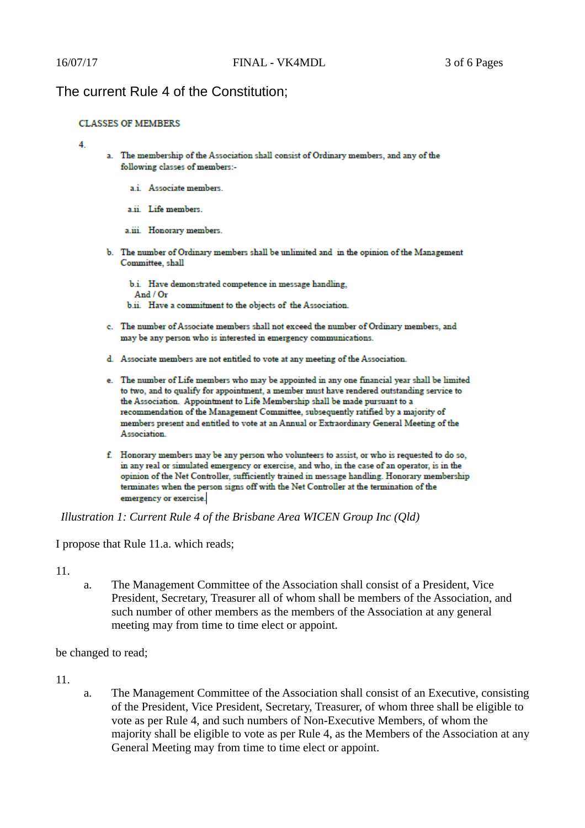## The current Rule 4 of the Constitution;

### **CLASSES OF MEMBERS**

#### $\boldsymbol{\Lambda}$

- a. The membership of the Association shall consist of Ordinary members, and any of the following classes of members:
	- a.i. Associate members.
	- a ii. Life members.
	- a.iii. Honorary members.
- b. The number of Ordinary members shall be unlimited and in the opinion of the Management Committee, shall

b.i. Have demonstrated competence in message handling, And  $/$  Or b.ii. Have a commitment to the objects of the Association.

- c. The number of Associate members shall not exceed the number of Ordinary members, and may be any person who is interested in emergency communications.
- d. Associate members are not entitled to vote at any meeting of the Association.
- e. The number of Life members who may be appointed in any one financial year shall be limited to two, and to qualify for appointment, a member must have rendered outstanding service to the Association. Appointment to Life Membership shall be made pursuant to a recommendation of the Management Committee, subsequently ratified by a majority of members present and entitled to vote at an Annual or Extraordinary General Meeting of the Association.
- f. Honorary members may be any person who volunteers to assist, or who is requested to do so, in any real or simulated emergency or exercise, and who, in the case of an operator, is in the opinion of the Net Controller, sufficiently trained in message handling. Honorary membership terminates when the person signs off with the Net Controller at the termination of the emergency or exercise.

*Illustration 1: Current Rule 4 of the Brisbane Area WICEN Group Inc (Qld)*

I propose that Rule 11.a. which reads;

### 11.

a. The Management Committee of the Association shall consist of a President, Vice President, Secretary, Treasurer all of whom shall be members of the Association, and such number of other members as the members of the Association at any general meeting may from time to time elect or appoint.

be changed to read;

- 11.
- a. The Management Committee of the Association shall consist of an Executive, consisting of the President, Vice President, Secretary, Treasurer, of whom three shall be eligible to vote as per Rule 4, and such numbers of Non-Executive Members, of whom the majority shall be eligible to vote as per Rule 4, as the Members of the Association at any General Meeting may from time to time elect or appoint.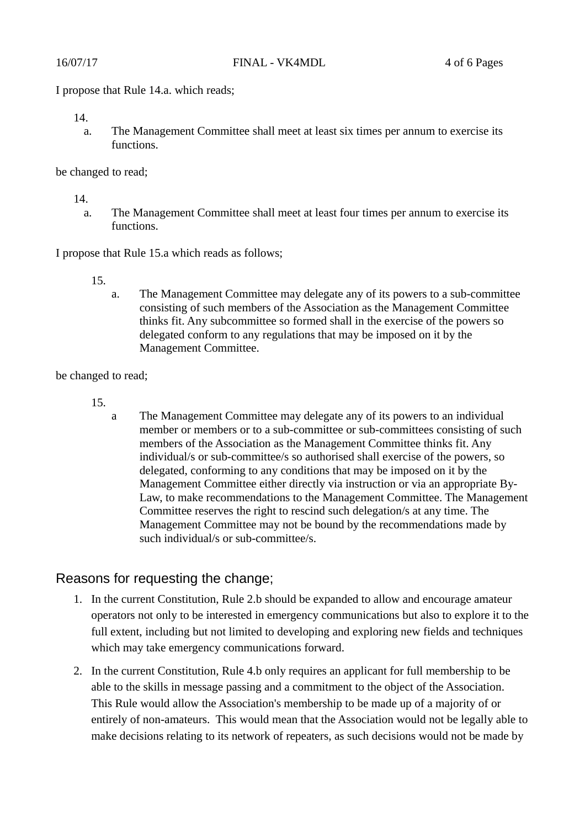I propose that Rule 14.a. which reads;

a. The Management Committee shall meet at least six times per annum to exercise its functions.

be changed to read;

14.

a. The Management Committee shall meet at least four times per annum to exercise its functions.

I propose that Rule 15.a which reads as follows;

- 15.
- a. The Management Committee may delegate any of its powers to a sub-committee consisting of such members of the Association as the Management Committee thinks fit. Any subcommittee so formed shall in the exercise of the powers so delegated conform to any regulations that may be imposed on it by the Management Committee.

be changed to read;

15.

a The Management Committee may delegate any of its powers to an individual member or members or to a sub-committee or sub-committees consisting of such members of the Association as the Management Committee thinks fit. Any individual/s or sub-committee/s so authorised shall exercise of the powers, so delegated, conforming to any conditions that may be imposed on it by the Management Committee either directly via instruction or via an appropriate By-Law, to make recommendations to the Management Committee. The Management Committee reserves the right to rescind such delegation/s at any time. The Management Committee may not be bound by the recommendations made by such individual/s or sub-committee/s.

## Reasons for requesting the change;

- 1. In the current Constitution, Rule 2.b should be expanded to allow and encourage amateur operators not only to be interested in emergency communications but also to explore it to the full extent, including but not limited to developing and exploring new fields and techniques which may take emergency communications forward.
- 2. In the current Constitution, Rule 4.b only requires an applicant for full membership to be able to the skills in message passing and a commitment to the object of the Association. This Rule would allow the Association's membership to be made up of a majority of or entirely of non-amateurs. This would mean that the Association would not be legally able to make decisions relating to its network of repeaters, as such decisions would not be made by

<sup>14.</sup>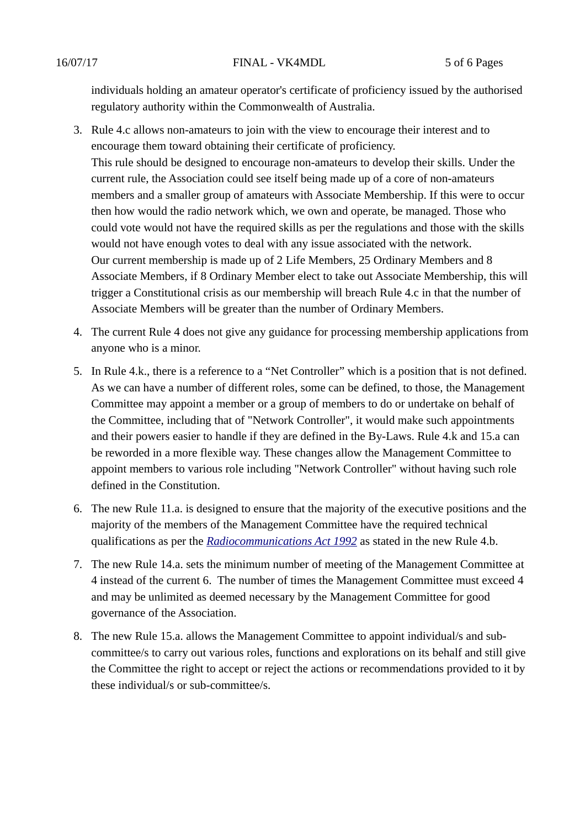individuals holding an amateur operator's certificate of proficiency issued by the authorised regulatory authority within the Commonwealth of Australia.

- 3. Rule 4.c allows non-amateurs to join with the view to encourage their interest and to encourage them toward obtaining their certificate of proficiency. This rule should be designed to encourage non-amateurs to develop their skills. Under the current rule, the Association could see itself being made up of a core of non-amateurs members and a smaller group of amateurs with Associate Membership. If this were to occur then how would the radio network which, we own and operate, be managed. Those who could vote would not have the required skills as per the regulations and those with the skills would not have enough votes to deal with any issue associated with the network. Our current membership is made up of 2 Life Members, 25 Ordinary Members and 8 Associate Members, if 8 Ordinary Member elect to take out Associate Membership, this will trigger a Constitutional crisis as our membership will breach Rule 4.c in that the number of Associate Members will be greater than the number of Ordinary Members.
- 4. The current Rule 4 does not give any guidance for processing membership applications from anyone who is a minor.
- 5. In Rule 4.k., there is a reference to a "Net Controller" which is a position that is not defined. As we can have a number of different roles, some can be defined, to those, the Management Committee may appoint a member or a group of members to do or undertake on behalf of the Committee, including that of "Network Controller", it would make such appointments and their powers easier to handle if they are defined in the By-Laws. Rule 4.k and 15.a can be reworded in a more flexible way. These changes allow the Management Committee to appoint members to various role including "Network Controller" without having such role defined in the Constitution.
- 6. The new Rule 11.a. is designed to ensure that the majority of the executive positions and the majority of the members of the Management Committee have the required technical qualifications as per the *[Radiocommunications Act 1992](http://www.comlaw.gov.au/Details/C2011C00072)* as stated in the new Rule 4.b.
- 7. The new Rule 14.a. sets the minimum number of meeting of the Management Committee at 4 instead of the current 6. The number of times the Management Committee must exceed 4 and may be unlimited as deemed necessary by the Management Committee for good governance of the Association.
- 8. The new Rule 15.a. allows the Management Committee to appoint individual/s and subcommittee/s to carry out various roles, functions and explorations on its behalf and still give the Committee the right to accept or reject the actions or recommendations provided to it by these individual/s or sub-committee/s.